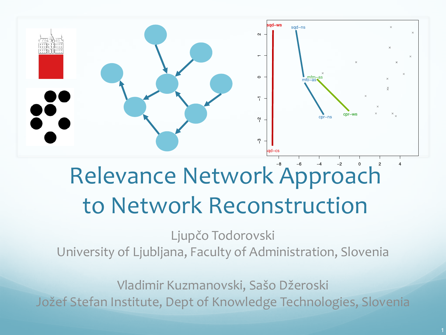

# Relevance Network Approach to Network Reconstruction

Ljupčo Todorovski University of Ljubljana, Faculty of Administration, Slovenia

Vladimir Kuzmanovski, Sašo Džeroski Jožef Stefan Institute, Dept of Knowledge Technologies, Slovenia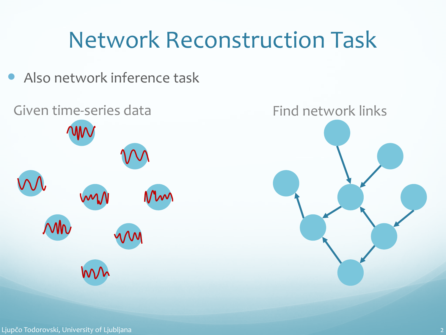### Network Reconstruction Task

Also network inference task



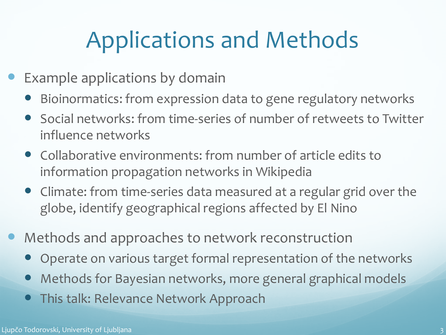## Applications and Methods

- Example applications by domain
	- Bioinormatics: from expression data to gene regulatory networks
	- Social networks: from time-series of number of retweets to Twitter influence networks
	- Collaborative environments: from number of article edits to information propagation networks in Wikipedia
	- Climate: from time-series data measured at a regular grid over the globe, identify geographical regions affected by El Nino
- Methods and approaches to network reconstruction
	- Operate on various target formal representation of the networks
	- Methods for Bayesian networks, more general graphical models
	- This talk: Relevance Network Approach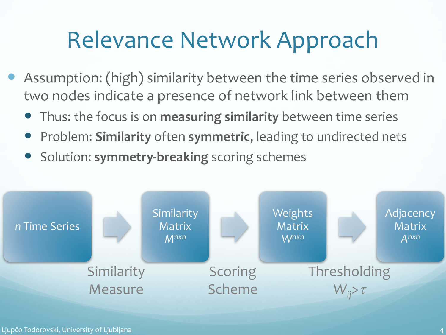### Relevance Network Approach

- Assumption: (high) similarity between the time series observed in two nodes indicate a presence of network link between them
	- Thus: the focus is on **measuring similarity** between time series
	- Problem: **Similarity** often **symmetric**, leading to undirected nets
	- **•** Solution: symmetry-breaking scoring schemes

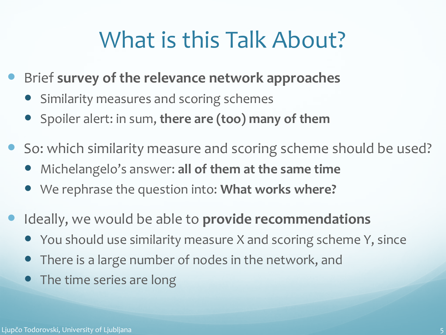### What is this Talk About?

- Brief **survey of the relevance network approaches**
	- Similarity measures and scoring schemes
	- Spoiler alert: in sum, **there are (too) many of them**
- So: which similarity measure and scoring scheme should be used?
	- Michelangelo's answer: **all of them at the same time**
	- We rephrase the question into: **What works where?**
- Ideally, we would be able to **provide recommendations**
	- You should use similarity measure X and scoring scheme Y, since
	- There is a large number of nodes in the network, and
	- The time series are long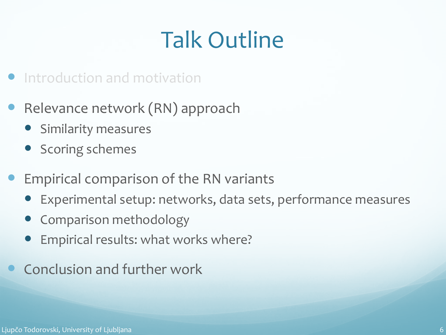# Talk Outline

- **•** Introduction and motivation
- Relevance network (RN) approach
	- **•** Similarity measures
	- Scoring schemes
- Empirical comparison of the RN variants
	- Experimental setup: networks, data sets, performance measures
	- Comparison methodology
	- Empirical results: what works where?
- Conclusion and further work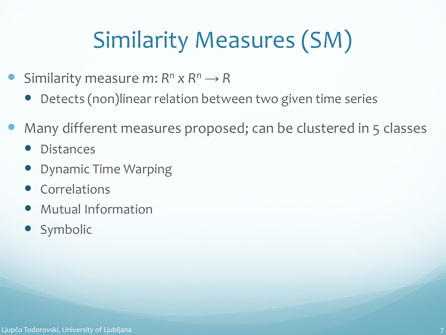# Similarity Measures (SM)

- Similarity measure *m*:  $R^n \times R^n \rightarrow R$ 
	- Detects (non)linear relation between two given time series
- Many different measures proposed; can be clustered in 5 classes
	- **Distances**
	- Dynamic Time Warping
	- Correlations
	- Mutual Information
	- Symbolic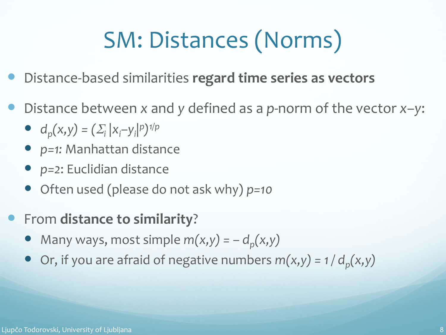# SM: Distances (Norms)

- Distance-based similarities **regard time series as vectors**
- Distance between *x* and *y* defined as a *p*-norm of the vector *x–y*:
	- $d_p(x,y) = (\sum_i |x_i y_i|^p)^{1/p}$
	- *p=1:* Manhattan distance
	- *p=2*: Euclidian distance
	- Often used (please do not ask why) *p=10*
- From **distance to similarity**?
	- Many ways, most simple  $m(x,y) = -d_p(x,y)$
	- $\bullet$  Or, if you are afraid of negative numbers  $m(x,y) = 1/d_p(x,y)$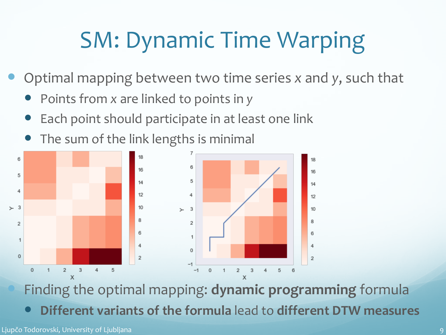## SM: Dynamic Time Warping

- Optimal mapping between two time series *x* and *y*, such that
	- Points from *x* are linked to points in *y*
	- Each point should participate in at least one link
	- The sum of the link lengths is minimal



 Finding the optimal mapping: **dynamic programming** formula **Different variants of the formula** lead to **different DTW measures**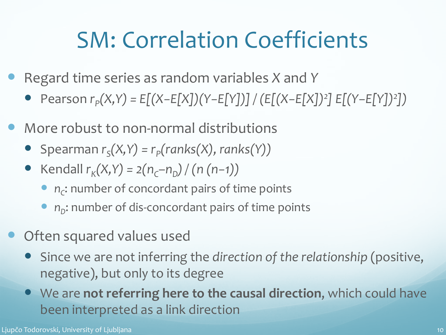### SM: Correlation Coefficients

- Regard time series as random variables *X* and *Y*
	- Pearson *rP(X,Y) = E[(X−E[X])(Y−E[Y])] / (E[(X−E[X])2 ] E[(Y*−*E[Y])2 ])*
- More robust to non-normal distributions
	- Spearman  $r_s(X, Y) = r_p(ranks(X), ranks(Y))$
	- $\bullet$  Kendall  $r_K(X, Y) = 2(n_C-n_D) / (n(n-1))$ 
		- *n<sub>c</sub>*: number of concordant pairs of time points
		- *n*<sub>D</sub>: number of dis-concordant pairs of time points
- Often squared values used
	- Since we are not inferring the *direction of the relationship* (positive, negative), but only to its degree
	- We are **not referring here to the causal direction**, which could have been interpreted as a link direction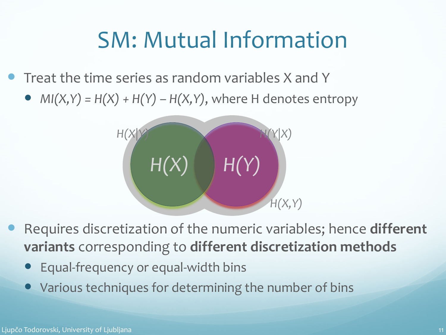### SM: Mutual Information

Treat the time series as random variables X and Y

•  $MI(X, Y) = H(X) + H(Y) - H(X, Y)$ , where H denotes entropy



- Requires discretization of the numeric variables; hence **different variants** corresponding to **different discretization methods**
	- Equal-frequency or equal-width bins
	- Various techniques for determining the number of bins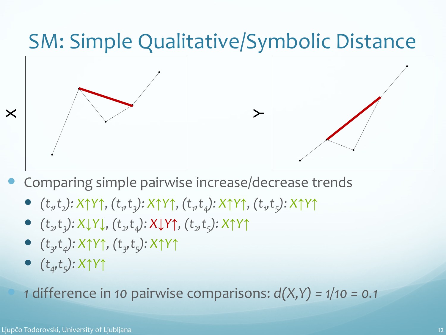

- Comparing simple pairwise increase/decrease trends
	- *(t1 ,t2): X↑Y↑, (t1 ,t3): X↑Y↑, (t1 ,t4): X↑Y↑, (t1 ,t5): X↑Y↑*
	- $(t_2, t_3): X \downarrow Y \downarrow$ ,  $(t_2, t_4): X \downarrow Y \uparrow$ ,  $(t_2, t_5): X \uparrow Y \uparrow$
	- *(t3,t4): X↑Y↑, (t3,t5): X↑Y↑*
	- *(t4,t5): X↑Y↑*

*1* difference in *10* pairwise comparisons: *d(X,Y) = 1/10 = 0.1*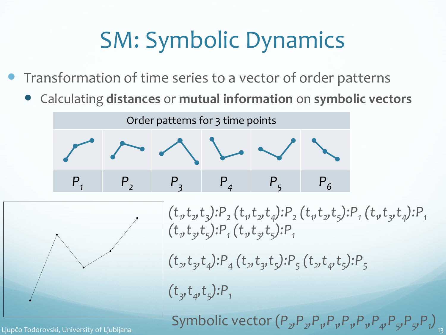## SM: Symbolic Dynamics

- Transformation of time series to a vector of order patterns
	- Calculating **distances** or **mutual information** on **symbolic vectors**

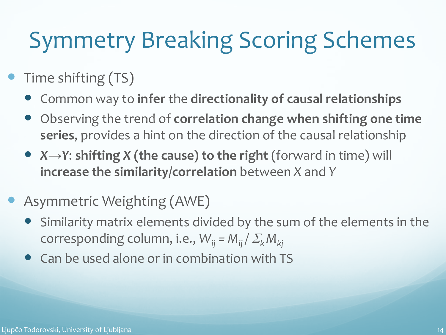## Symmetry Breaking Scoring Schemes

- Time shifting (TS)
	- Common way to **infer** the **directionality of causal relationships**
	- Observing the trend of **correlation change when shifting one time series**, provides a hint on the direction of the causal relationship
	- *X→Y*: **shifting** *X* **(the cause) to the right** (forward in time) will **increase the similarity/correlation** between *X* and *Y*
- Asymmetric Weighting (AWE)
	- Similarity matrix elements divided by the sum of the elements in the corresponding column, i.e.,  $W_{ii} = M_{ii}/\sum_{k} M_{ki}$
	- Can be used alone or in combination with TS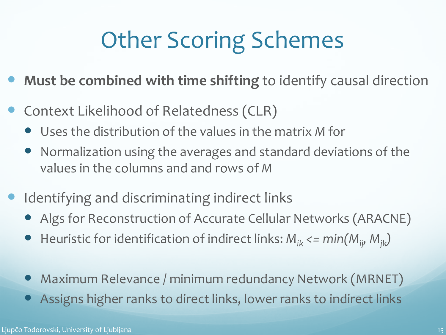# Other Scoring Schemes

- **Must be combined with time shifting** to identify causal direction
- Context Likelihood of Relatedness (CLR)
	- Uses the distribution of the values in the matrix *M* for
	- Normalization using the averages and standard deviations of the values in the columns and and rows of *M*
- Identifying and discriminating indirect links
	- Algs for Reconstruction of Accurate Cellular Networks (ARACNE)
	- Heuristic for identification of indirect links: *M<sub>ik</sub>* <= min(*M<sub>ii</sub>, M*<sub>ik</sub>)
	- Maximum Relevance / minimum redundancy Network (MRNET)
	- Assigns higher ranks to direct links, lower ranks to indirect links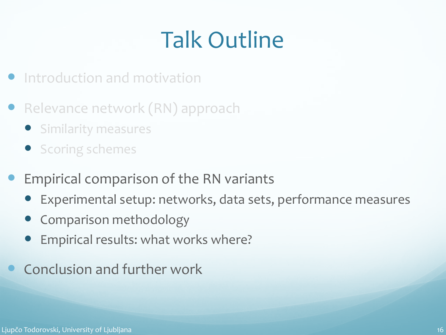# Talk Outline

- **•** Introduction and motivation
- Relevance network (RN) approach
	- **•** Similarity measures
	- **•** Scoring schemes
- Empirical comparison of the RN variants
	- Experimental setup: networks, data sets, performance measures
	- Comparison methodology
	- Empirical results: what works where?
- Conclusion and further work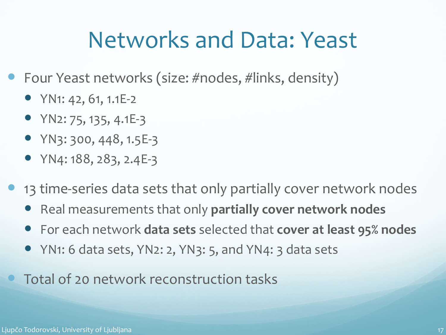#### Networks and Data: Yeast

- Four Yeast networks (size: #nodes, #links, density)
	- YN1: 42, 61, 1.1E-2
	- $YN2: 75, 135, 4.1E-3$
	- YN3: 300, 448, 1.5E-3
	- $YN4: 188, 283, 2.4E-3$
- 13 time-series data sets that only partially cover network nodes
	- Real measurements that only **partially cover network nodes**
	- For each network **data sets** selected that **cover at least 95% nodes**
	- YN1: 6 data sets, YN2: 2, YN3: 5, and YN4: 3 data sets
	- Total of 20 network reconstruction tasks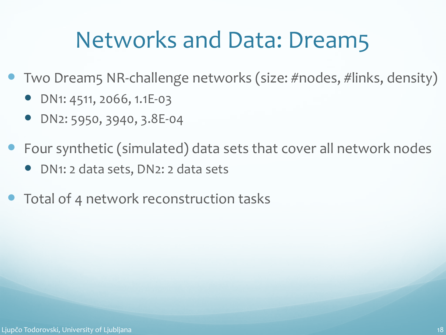### Networks and Data: Dream5

- Two Dream5 NR-challenge networks (size: #nodes, #links, density)
	- DN1: 4511, 2066, 1.1E-03
	- DN2: 5950, 3940, 3.8E-04
- Four synthetic (simulated) data sets that cover all network nodes
	- DN1: 2 data sets, DN2: 2 data sets
- Total of 4 network reconstruction tasks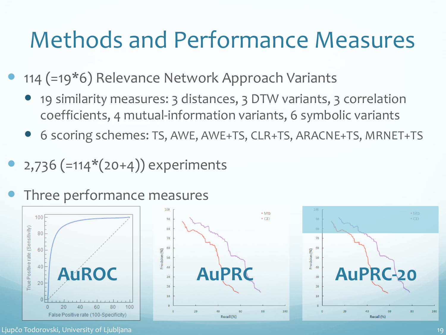#### Methods and Performance Measures

- 114 (=19\*6) Relevance Network Approach Variants
	- 19 similarity measures: 3 distances, 3 DTW variants, 3 correlation coefficients, 4 mutual-information variants, 6 symbolic variants
	- 6 scoring schemes: TS, AWE, AWE+TS, CLR+TS, ARACNE+TS, MRNET+TS
- 2,736 (=114\*(20+4)) experiments
- Three performance measures







Ljupčo Todorovski, University of Ljubljana 19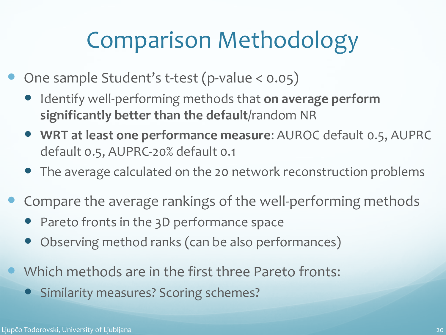## Comparison Methodology

- One sample Student's t-test (p-value < 0.05)
	- **•** Identify well-performing methods that on average perform **significantly better than the default**/random NR
	- **WRT at least one performance measure**: AUROC default 0.5, AUPRC default 0.5, AUPRC-20% default 0.1
	- The average calculated on the 20 network reconstruction problems
- Compare the average rankings of the well-performing methods
	- Pareto fronts in the 3D performance space
	- Observing method ranks (can be also performances)
- Which methods are in the first three Pareto fronts:
	- Similarity measures? Scoring schemes?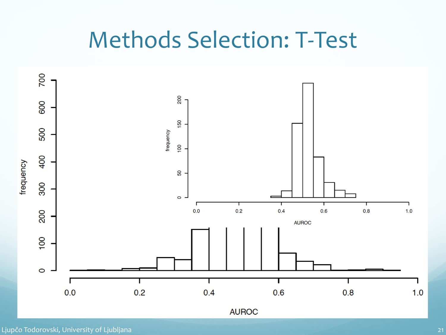#### Methods Selection: T-Test

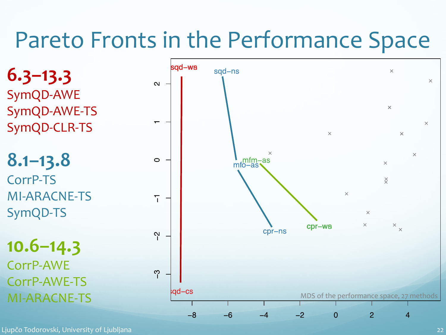### Pareto Fronts in the Performance Space

**6.3–13.3** SymQD-AWE SymQD-AWE-TS SymQD-CLR-TS **8.1–13.8** CorrP-TS MI-ARACNE-TS SymQD-TS **10.6–14.3** CorrP-AWE CorrP-AWE-TS



Ljupčo Todorovski, University of Ljubljana 22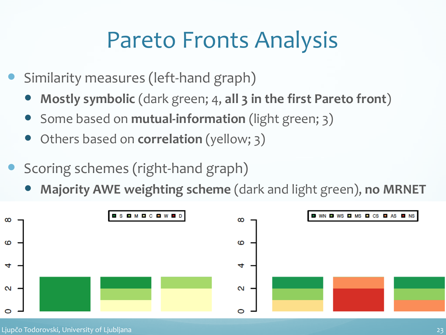### Pareto Fronts Analysis

- Similarity measures (left-hand graph)
	- **Mostly symbolic** (dark green; 4, **all 3 in the first Pareto front**)
	- Some based on **mutual-information** (light green; 3)
	- Others based on **correlation** (yellow; 3)
- Scoring schemes (right-hand graph)
	- **Majority AWE weighting scheme** (dark and light green), **no MRNET**

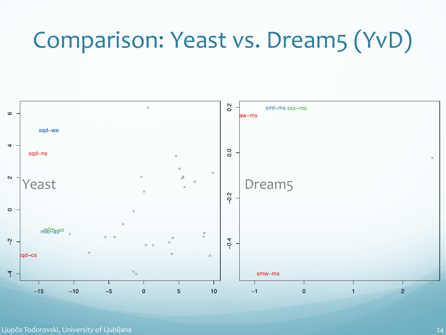## Comparison: Yeast vs. Dream5 (YvD)

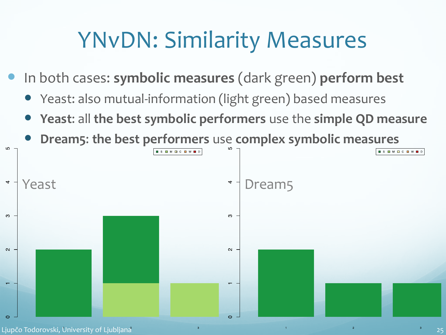### YNvDN: Similarity Measures

- In both cases: **symbolic measures** (dark green) **perform best**
	- Yeast: also mutual-information (light green) based measures
	- **Yeast**: all **the best symbolic performers** use the **simple QD measure**
	- **Dream5**: **the best performers** use **complex symbolic measures**

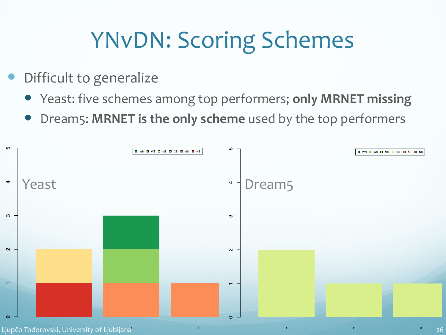## YNvDN: Scoring Schemes

- Difficult to generalize
	- Yeast: five schemes among top performers; **only MRNET missing**
	- Dream5: **MRNET is the only scheme** used by the top performers



Ljupčo Todorovski, University of Ljubljana 26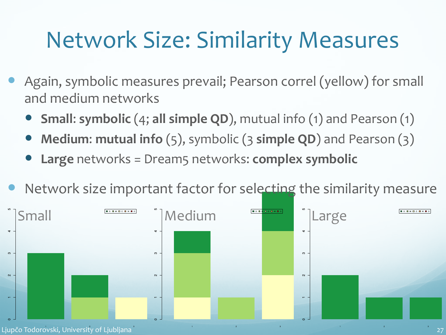### Network Size: Similarity Measures

- Again, symbolic measures prevail; Pearson correl (yellow) for small and medium networks
	- **Small**: **symbolic** (4; **all simple QD**), mutual info (1) and Pearson (1)
	- **Medium**: **mutual info** (5), symbolic (3 **simple QD**) and Pearson (3)
	- **Large** networks = Dream5 networks: **complex symbolic**
- Network size important factor for selecting the similarity measure

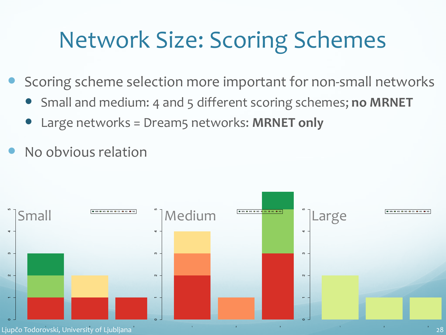### Network Size: Scoring Schemes

- Scoring scheme selection more important for non-small networks
	- Small and medium: 4 and 5 different scoring schemes; **no MRNET**
	- Large networks = Dream5 networks: **MRNET only**
- No obvious relation

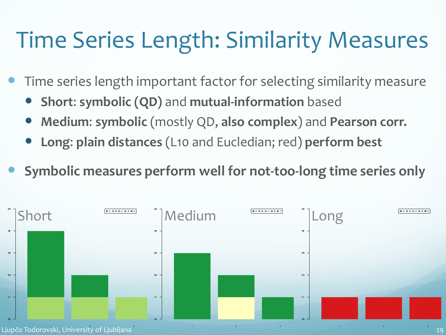### Time Series Length: Similarity Measures

- Time series length important factor for selecting similarity measure
	- **Short**: **symbolic (QD)** and **mutual-information** based
	- **Medium**: **symbolic** (mostly QD, **also complex**) and **Pearson corr.**
	- **Long**: **plain distances** (L10 and Eucledian; red) **perform best**
- **Symbolic measures perform well for not-too-long time series only**

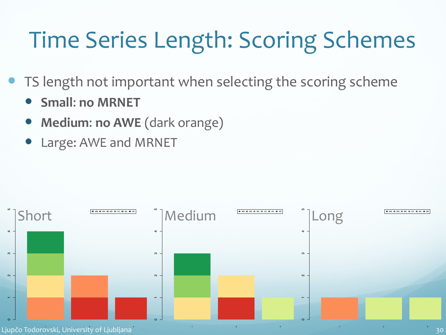# Time Series Length: Scoring Schemes

- TS length not important when selecting the scoring scheme
	- **Small**: **no MRNET**
	- **Medium**: **no AWE** (dark orange)
	- Large: AWE and MRNET

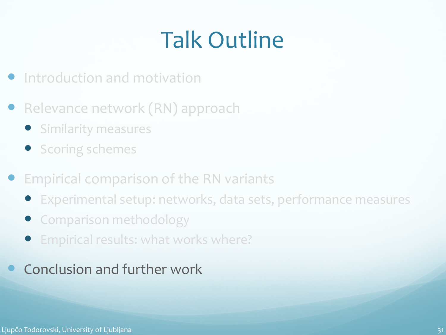# Talk Outline

- Introduction and motivation
- **Relevance network (RN) approach** 
	- **•** Similarity measures
	- **•** Scoring schemes
- Empirical comparison of the RN variants
	- Experimental setup: networks, data sets, performance measures
	- **Comparison methodology**
	- Empirical results: what works where?
	- Conclusion and further work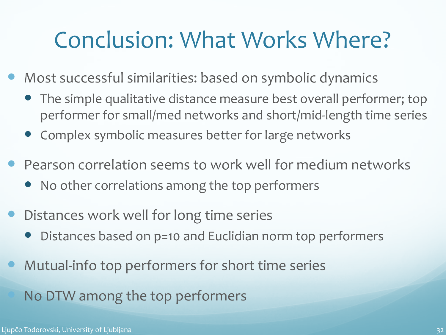#### Conclusion: What Works Where?

- Most successful similarities: based on symbolic dynamics
	- The simple qualitative distance measure best overall performer; top performer for small/med networks and short/mid-length time series
	- Complex symbolic measures better for large networks
- Pearson correlation seems to work well for medium networks
	- No other correlations among the top performers
- Distances work well for long time series
	- Distances based on p=10 and Euclidian norm top performers
- Mutual-info top performers for short time series

No DTW among the top performers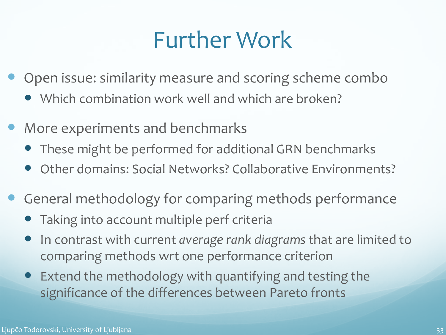### Further Work

- Open issue: similarity measure and scoring scheme combo
	- Which combination work well and which are broken?
- More experiments and benchmarks
	- These might be performed for additional GRN benchmarks
	- Other domains: Social Networks? Collaborative Environments?
- General methodology for comparing methods performance
	- Taking into account multiple perf criteria
	- In contrast with current *average rank diagrams* that are limited to comparing methods wrt one performance criterion
	- Extend the methodology with quantifying and testing the significance of the differences between Pareto fronts